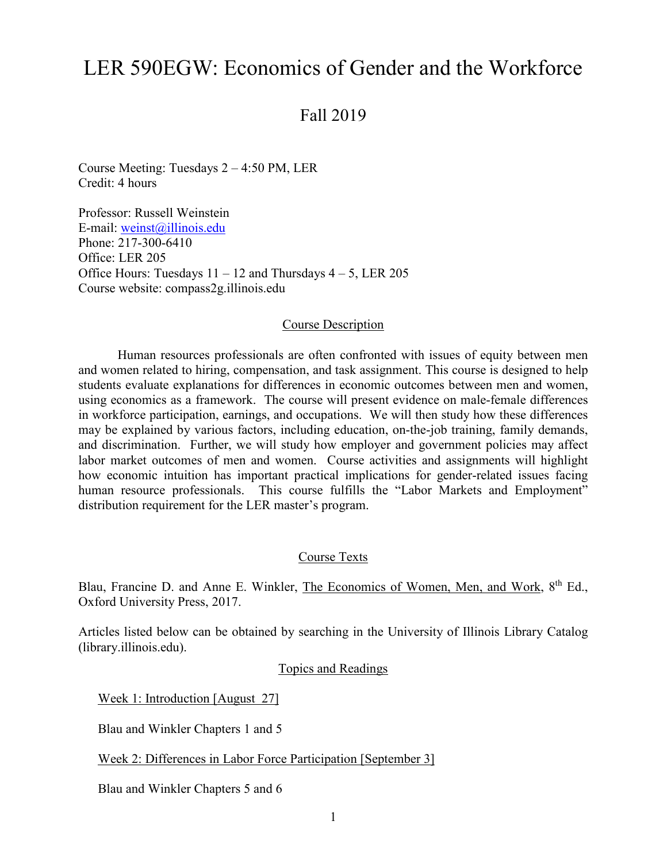# LER 590EGW: Economics of Gender and the Workforce

Fall 2019

Course Meeting: Tuesdays 2 – 4:50 PM, LER Credit: 4 hours

Professor: Russell Weinstein E-mail: [weinst@illinois.edu](mailto:weinst@illinois.edu) Phone: 217-300-6410 Office: LER 205 Office Hours: Tuesdays  $11 - 12$  and Thursdays  $4 - 5$ , LER 205 Course website: compass2g.illinois.edu

#### Course Description

Human resources professionals are often confronted with issues of equity between men and women related to hiring, compensation, and task assignment. This course is designed to help students evaluate explanations for differences in economic outcomes between men and women, using economics as a framework. The course will present evidence on male-female differences in workforce participation, earnings, and occupations. We will then study how these differences may be explained by various factors, including education, on-the-job training, family demands, and discrimination. Further, we will study how employer and government policies may affect labor market outcomes of men and women. Course activities and assignments will highlight how economic intuition has important practical implications for gender-related issues facing human resource professionals. This course fulfills the "Labor Markets and Employment" distribution requirement for the LER master's program.

## Course Texts

Blau, Francine D. and Anne E. Winkler, The Economics of Women, Men, and Work, 8<sup>th</sup> Ed., Oxford University Press, 2017.

Articles listed below can be obtained by searching in the University of Illinois Library Catalog (library.illinois.edu).

Topics and Readings

Week 1: Introduction [August 27]

Blau and Winkler Chapters 1 and 5

Week 2: Differences in Labor Force Participation [September 3]

Blau and Winkler Chapters 5 and 6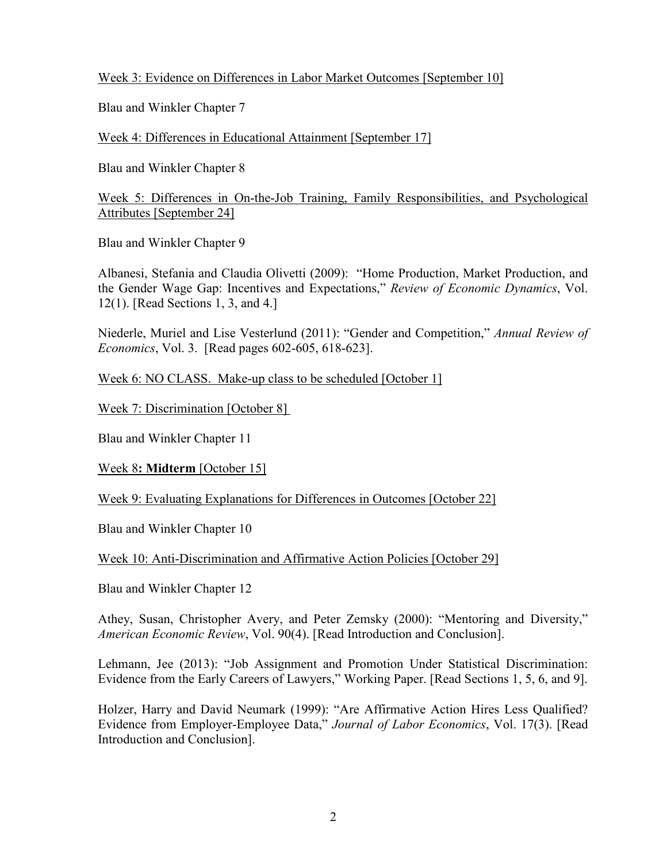Week 3: Evidence on Differences in Labor Market Outcomes [September 10]

Blau and Winkler Chapter 7

Week 4: Differences in Educational Attainment [September 17]

Blau and Winkler Chapter 8

Week 5: Differences in On-the-Job Training, Family Responsibilities, and Psychological Attributes [September 24]

Blau and Winkler Chapter 9

Albanesi, Stefania and Claudia Olivetti (2009): "Home Production, Market Production, and the Gender Wage Gap: Incentives and Expectations," *Review of Economic Dynamics*, Vol. 12(1). [Read Sections 1, 3, and 4.]

Niederle, Muriel and Lise Vesterlund (2011): "Gender and Competition," *Annual Review of Economics*, Vol. 3. [Read pages 602-605, 618-623].

Week 6: NO CLASS. Make-up class to be scheduled [October 1]

Week 7: Discrimination [October 8]

Blau and Winkler Chapter 11

Week 8**: Midterm** [October 15]

Week 9: Evaluating Explanations for Differences in Outcomes [October 22]

Blau and Winkler Chapter 10

Week 10: Anti-Discrimination and Affirmative Action Policies [October 29]

Blau and Winkler Chapter 12

Athey, Susan, Christopher Avery, and Peter Zemsky (2000): "Mentoring and Diversity," *American Economic Review*, Vol. 90(4). [Read Introduction and Conclusion].

Lehmann, Jee (2013): "Job Assignment and Promotion Under Statistical Discrimination: Evidence from the Early Careers of Lawyers," Working Paper. [Read Sections 1, 5, 6, and 9].

Holzer, Harry and David Neumark (1999): "Are Affirmative Action Hires Less Qualified? Evidence from Employer-Employee Data," *Journal of Labor Economics*, Vol. 17(3). [Read Introduction and Conclusion].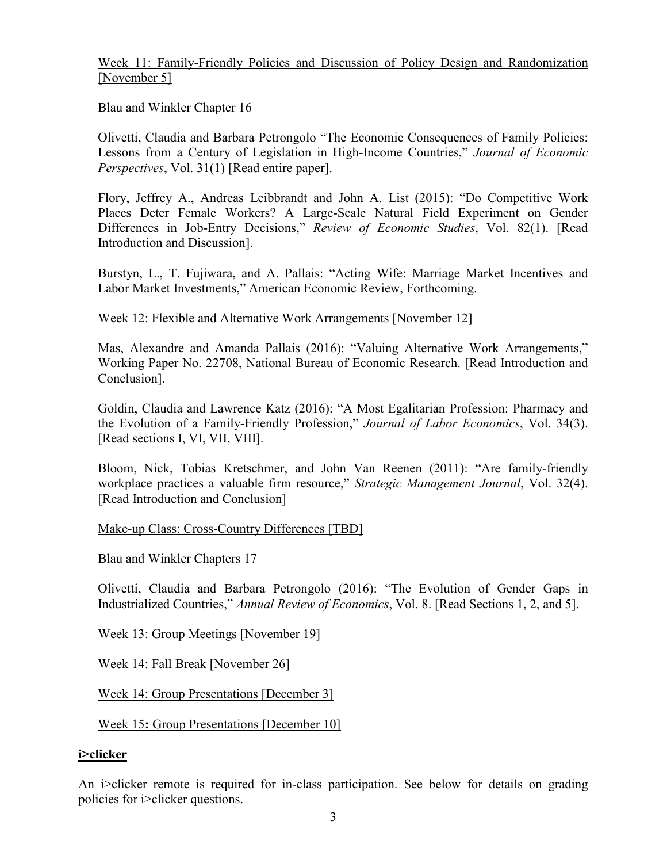# Week 11: Family-Friendly Policies and Discussion of Policy Design and Randomization [November 5]

Blau and Winkler Chapter 16

Olivetti, Claudia and Barbara Petrongolo "The Economic Consequences of Family Policies: Lessons from a Century of Legislation in High-Income Countries," *Journal of Economic Perspectives*, Vol. 31(1) [Read entire paper].

Flory, Jeffrey A., Andreas Leibbrandt and John A. List (2015): "Do Competitive Work Places Deter Female Workers? A Large-Scale Natural Field Experiment on Gender Differences in Job-Entry Decisions," *Review of Economic Studies*, Vol. 82(1). [Read Introduction and Discussion].

Burstyn, L., T. Fujiwara, and A. Pallais: "Acting Wife: Marriage Market Incentives and Labor Market Investments," American Economic Review, Forthcoming.

# Week 12: Flexible and Alternative Work Arrangements [November 12]

Mas, Alexandre and Amanda Pallais (2016): "Valuing Alternative Work Arrangements," Working Paper No. 22708, National Bureau of Economic Research. [Read Introduction and Conclusion].

Goldin, Claudia and Lawrence Katz (2016): "A Most Egalitarian Profession: Pharmacy and the Evolution of a Family-Friendly Profession," *Journal of Labor Economics*, Vol. 34(3). [Read sections I, VI, VII, VIII].

Bloom, Nick, Tobias Kretschmer, and John Van Reenen (2011): "Are family-friendly workplace practices a valuable firm resource," *Strategic Management Journal*, Vol. 32(4). [Read Introduction and Conclusion]

## Make-up Class: Cross-Country Differences [TBD]

Blau and Winkler Chapters 17

Olivetti, Claudia and Barbara Petrongolo (2016): "The Evolution of Gender Gaps in Industrialized Countries," *Annual Review of Economics*, Vol. 8. [Read Sections 1, 2, and 5].

Week 13: Group Meetings [November 19]

Week 14: Fall Break [November 26]

Week 14: Group Presentations [December 3]

Week 15**:** Group Presentations [December 10]

# **i>clicker**

An i>clicker remote is required for in-class participation. See below for details on grading policies for i>clicker questions.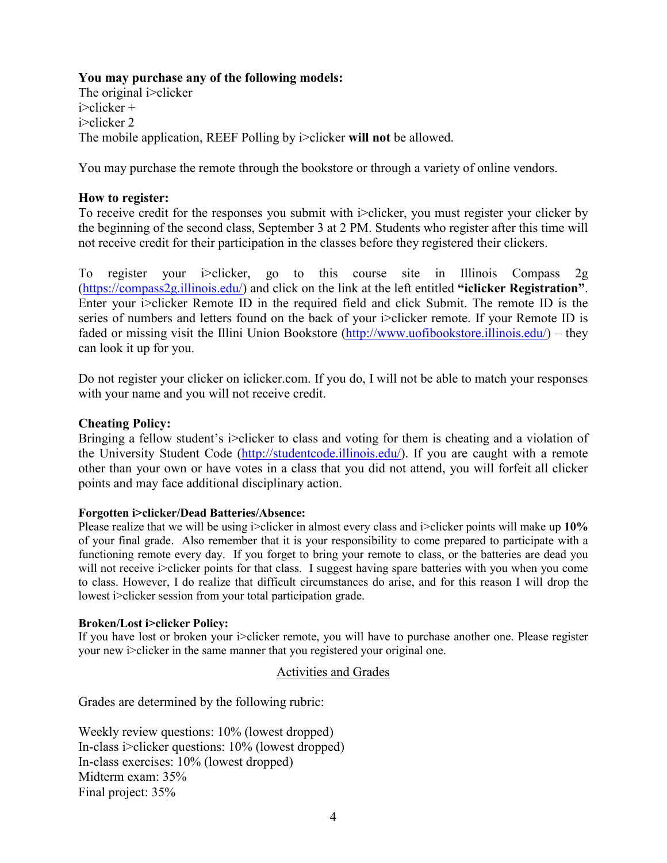## **You may purchase any of the following models:**

The original i>clicker i>clicker + i>clicker 2 The mobile application, REEF Polling by i>clicker **will not** be allowed.

You may purchase the remote through the bookstore or through a variety of online vendors.

## **How to register:**

To receive credit for the responses you submit with i>clicker, you must register your clicker by the beginning of the second class, September 3 at 2 PM. Students who register after this time will not receive credit for their participation in the classes before they registered their clickers.

To register your i>clicker, go to this course site in Illinois Compass 2g [\(https://compass2g.illinois.edu/\)](https://compass2g.illinois.edu/) and click on the link at the left entitled **"iclicker Registration"**. Enter your i>clicker Remote ID in the required field and click Submit. The remote ID is the series of numbers and letters found on the back of your i>clicker remote. If your Remote ID is faded or missing visit the Illini Union Bookstore [\(http://www.uofibookstore.illinois.edu/\)](http://www.uofibookstore.illinois.edu/) – they can look it up for you.

Do not register your clicker on iclicker.com. If you do, I will not be able to match your responses with your name and you will not receive credit.

#### **Cheating Policy:**

Bringing a fellow student's i>clicker to class and voting for them is cheating and a violation of the University Student Code [\(http://studentcode.illinois.edu/\)](http://studentcode.illinois.edu/). If you are caught with a remote other than your own or have votes in a class that you did not attend, you will forfeit all clicker points and may face additional disciplinary action.

#### **Forgotten i>clicker/Dead Batteries/Absence:**

Please realize that we will be using i>clicker in almost every class and i>clicker points will make up **10%** of your final grade. Also remember that it is your responsibility to come prepared to participate with a functioning remote every day. If you forget to bring your remote to class, or the batteries are dead you will not receive i>clicker points for that class. I suggest having spare batteries with you when you come to class. However, I do realize that difficult circumstances do arise, and for this reason I will drop the lowest i>clicker session from your total participation grade.

#### **Broken/Lost i>clicker Policy:**

If you have lost or broken your i>clicker remote, you will have to purchase another one. Please register your new i>clicker in the same manner that you registered your original one.

## Activities and Grades

Grades are determined by the following rubric:

Weekly review questions: 10% (lowest dropped) In-class i>clicker questions: 10% (lowest dropped) In-class exercises: 10% (lowest dropped) Midterm exam: 35% Final project: 35%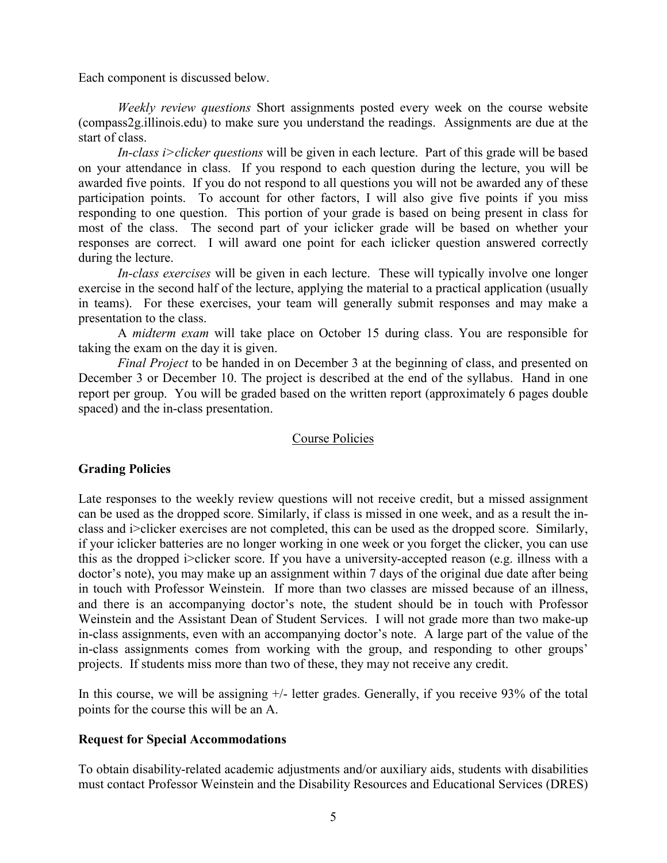Each component is discussed below.

*Weekly review questions* Short assignments posted every week on the course website (compass2g.illinois.edu) to make sure you understand the readings. Assignments are due at the start of class.

*In-class i>clicker questions* will be given in each lecture. Part of this grade will be based on your attendance in class. If you respond to each question during the lecture, you will be awarded five points. If you do not respond to all questions you will not be awarded any of these participation points. To account for other factors, I will also give five points if you miss responding to one question. This portion of your grade is based on being present in class for most of the class. The second part of your iclicker grade will be based on whether your responses are correct. I will award one point for each iclicker question answered correctly during the lecture.

*In-class exercises* will be given in each lecture. These will typically involve one longer exercise in the second half of the lecture, applying the material to a practical application (usually in teams). For these exercises, your team will generally submit responses and may make a presentation to the class.

A *midterm exam* will take place on October 15 during class. You are responsible for taking the exam on the day it is given.

*Final Project* to be handed in on December 3 at the beginning of class, and presented on December 3 or December 10. The project is described at the end of the syllabus. Hand in one report per group. You will be graded based on the written report (approximately 6 pages double spaced) and the in-class presentation.

## Course Policies

## **Grading Policies**

Late responses to the weekly review questions will not receive credit, but a missed assignment can be used as the dropped score. Similarly, if class is missed in one week, and as a result the inclass and i>clicker exercises are not completed, this can be used as the dropped score. Similarly, if your iclicker batteries are no longer working in one week or you forget the clicker, you can use this as the dropped i>clicker score. If you have a university-accepted reason (e.g. illness with a doctor's note), you may make up an assignment within 7 days of the original due date after being in touch with Professor Weinstein. If more than two classes are missed because of an illness, and there is an accompanying doctor's note, the student should be in touch with Professor Weinstein and the Assistant Dean of Student Services. I will not grade more than two make-up in-class assignments, even with an accompanying doctor's note. A large part of the value of the in-class assignments comes from working with the group, and responding to other groups' projects. If students miss more than two of these, they may not receive any credit.

In this course, we will be assigning +/- letter grades. Generally, if you receive 93% of the total points for the course this will be an A.

## **Request for Special Accommodations**

To obtain disability-related academic adjustments and/or auxiliary aids, students with disabilities must contact Professor Weinstein and the Disability Resources and Educational Services (DRES)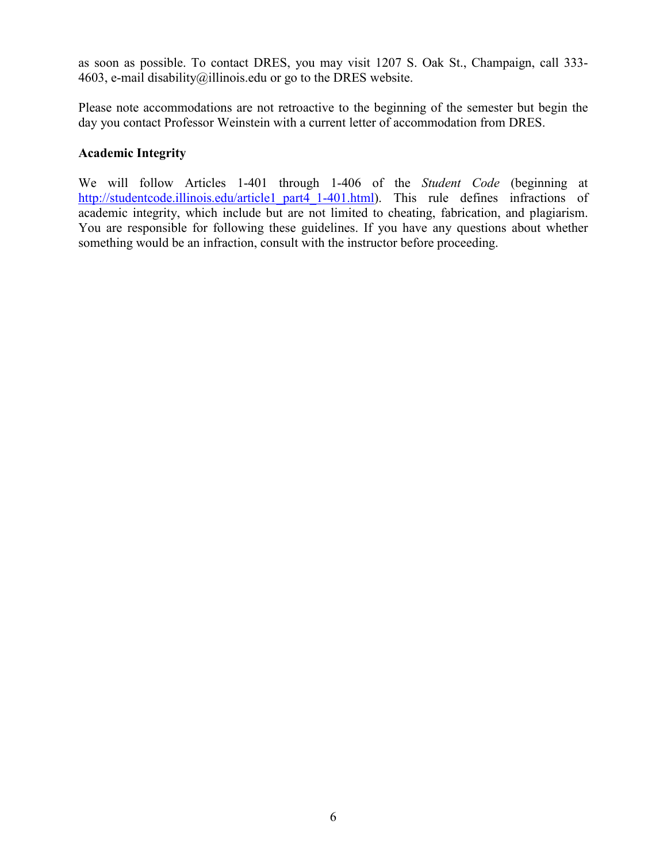as soon as possible. To contact DRES, you may visit 1207 S. Oak St., Champaign, call 333 4603, e-mail [disability@illinois.edu](mailto:disability@uiuc.edu) or go to the [DRES website.](http://disability.illinois.edu/)

Please note accommodations are not retroactive to the beginning of the semester but begin the day you contact Professor Weinstein with a current letter of accommodation from DRES.

# **Academic Integrity**

We will follow Articles 1-401 through 1-406 of the *Student Code* (beginning at [http://studentcode.illinois.edu/article1\\_part4\\_1-401.html\)](http://studentcode.illinois.edu/article1_part4_1-401.html). This rule defines infractions of academic integrity, which include but are not limited to cheating, fabrication, and plagiarism. You are responsible for following these guidelines. If you have any questions about whether something would be an infraction, consult with the instructor before proceeding.